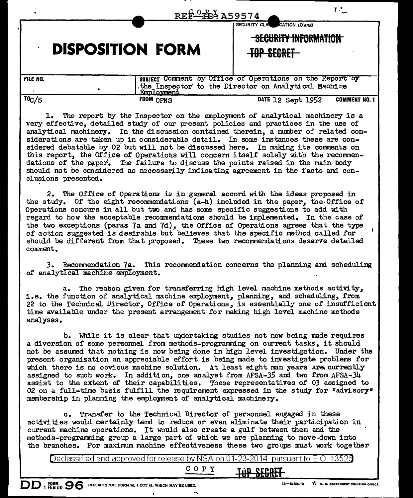|                 | REF-TD4 A59574                                                                          | 7.5                                                                                                             |
|-----------------|-----------------------------------------------------------------------------------------|-----------------------------------------------------------------------------------------------------------------|
|                 | <b>DISPOSITION FORM</b>                                                                 | SECURITY CLA CATION (If any)<br>SECURITY INFORMATION<br><del>TOP SECRET</del>                                   |
| <b>FILE NO.</b> | <b>Employment</b>                                                                       | subject Comment by Office of Operations on the Report by<br>the Inspector to the Director on Analytical Machine |
| TOC/S           | FROM OPNS<br>The report by the Inspector on the employment of analytical machinery is a | DATE 12 Sept 1952<br><b>COMMENT NO. 1</b>                                                                       |

very effective, detailed study of our present policies and practices in the use of analytical machinery. In the discussion contained therein, a number of related considerations are taken up in considerable detail. In some instances these are considered debatable by 02 but will not be discussed here. In making its comments on this report, the Office of Operations will concern itself solely with the recommendations of the paper. The failure to discuss the points raised in the main body should not be considered as necessarily indicating agreement in the facts and conclusions presented.

2. The Office of Operations is in general accord with the ideas proposed in the study. Of the eight recommendations  $(a-h)$  included in the paper, the Office of Operations concurs in all but two and has some specific suggestions to add with regard to how the acceptable recommendations should be implemented. In the case of the two exceptions (paras 7a and 7d), the Office of Operations agrees that the type of action suggested is desirable but believes that the specific method called for should be different from that proposed. These two recommendations deserve detailed comment.

*3.* Recommendation 7a. This recommerxlation concerns the planning and scheduling of analytical machine employment.

a. The reason given for transferring high level machine methods activity, i.e. the function of analytical machine employment, planning, and scheduling, from 22 to the Technical Director, Office of Operations, is essentially one of insufficient time available under the present arrangement for making high level machine methods analyses.

b. While it is clear that undertaking studies not now being made requires a diversion of some personnel from methods-programming on current tasks, it should not be assumed that nothing is now being done in high level investigation. Under the present organization an appreciable effort is being made to investigate problems for which there is no obvious machine solution. At least eight man years are currently assigned to such work. In addition, one analyst from AFSA-35 am two from AFSA-34 assist to the extent of their capabilities. These representatives of *03* assigned to 02 on a full-time basis fulfill the requirement expressed in the study for "advisory" membership in planning the employment of analytical machinery.

c. Transfer to the Technical Director of personnel engaged in these activities would certainly tend to reduce or even eliminate their participation in current machine operations. It would also create a gulf between them and the methods-programming group a large part of which we are planning to move.down into the branches. For maximum machine effectiveness these two groups must work together

Declassified and approved for release by NSA on 01-23-2014  $\,$  pursuant to E.O.  $\,$ 

c 0 p y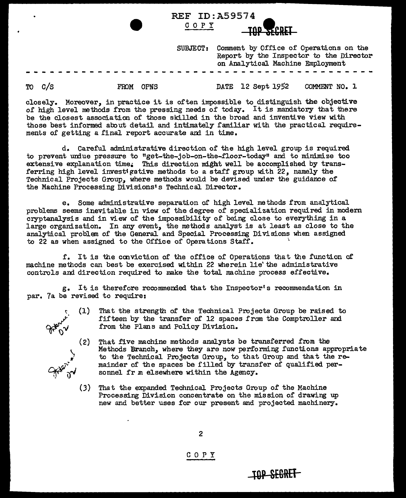| COPY     | <b>TOP SECRET</b>                                                                                                     |
|----------|-----------------------------------------------------------------------------------------------------------------------|
| SUBJECT: | Comment by Office of Operations on the<br>Report by the Inspector to the Director<br>on Analytical Machine Employment |
|          |                                                                                                                       |

REF ID:A59574

TO c/s FROM OPNS

DATE 12 Sept 1952 COMMENT NO. J.

closely. Moreover, in practice it is often impossible to distinguish the objecti.ve of high level methods from the pressing needs of today. It is mandatory that there be the closest association of those skilled in the broad and inventive view with those best informed about detail and intimately familiar with the practical requirements of getting a final report accurate ani in time.

d. Careful administrative direction of the high level group is required. to prevent undue pressure to "get-the-job-on-the-floor-today" and to minimize too extensive explanation time. This direction might well be accomplished by transferring high level invest gative methods to a staff group with  $22$ , namely the Technical Projects Group, where methods would be devised under the guidance of the Machine Processing Divisions's Technical Director.

e. Some administrative separation or high level methods from analytical problems seems inevitable in view of the degree of specialization required in modern cryptanalysis and in view of the impossibility of being close to everything in a large organization. In any event, the methods analyst is at least as close to the analytical problem of the General and Special Processing Di Visions when assigned to 22 as when assigned to the Office of Operations Staff.

f. It is the conviction of the office of Operations that the function of machine methods can best be exercised. within 22 wherein lie' the administrative controls and direction required to make the total machine process effective.

g. It is therefore recommended that the Inspector's recommendation in par. 7a be revised to require:

 $A_{\rm sp.}^{\rm sp. \lambda}$  (5)

 $Q^{\mu\nu}$   $^{\nu}$ 

 $\zeta$ ..

- $(1)$ That the strength of the Technical Projects Group be raised to fifteen by the transfer of 12 spaces from the Comptroller and from the Plans and Policy Division.
- $(2)$  That five machine methods analysts be transferred from the Methods Branch, where they are now performing functions appropriate to the Technical Projects Group, to that Group and that the remainder of the spaces be filled by transfer of qualified personnel fr m elsewhere within the Agency.

**tOP SEGREl** 

(3) That the expanded Technical Projects Group of the Machine Processing Division concentrate on the mission of drawing up new and better uses for our present and projected machinery.

c 0 p y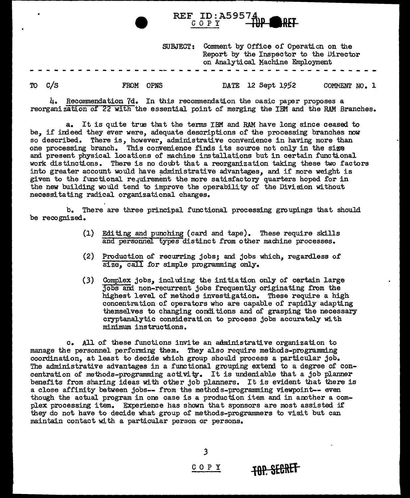|    | REF ID: A59574<br><b>BRET</b> |                 |  |                   |                                                                                                                      |               |  |  |
|----|-------------------------------|-----------------|--|-------------------|----------------------------------------------------------------------------------------------------------------------|---------------|--|--|
|    |                               | <b>SUBJECT:</b> |  |                   | Comment by Office of Operation on the<br>Report by the Inspector to the Director<br>on Analytical Machine Employment |               |  |  |
| TO | FROM                          | <b>OPNS</b>     |  | DATE 12 Sept 1952 |                                                                                                                      | COMMENT NO. 1 |  |  |

4. Recommendation 7d. In this recommendation the oasic paper proposes a reorganization of 22 with the essential point of merging the IBM and the RAM Branches.

a. It is quite true that the terms IBM and RAM have long since ceased to be, if indeed they ever were, adequate descriptions of the processing branches now so described. There is, however, administrative convenience in haVing more than one processing branch. This convenience finds its source not only in the sige and present physical locations of machine installations but in certain functional work distinctions. There is no doubt that a reorganization taking these two factors into greater account would have administrative advantages, and if more weight is given to the functional requirement the more satisfactory quarters hoped for in the new building would tend to improve the operability of the Division without necessitating radical organizational changes.

b. There are three principal functional processing groupings that should be recognized.

- (1) Editing and punching (card and tape). These require skills and personnel types distinct from other machine processes.
- (2) Production of recurring jobs; and jobs which, regardless of size. call for simple programming only.
- $(3)$  Complex jobs, including the initiation only of certain large jobs and non-recurrent jobs frequently originating from the highest level of methods investigation. These require a high concentration of operators who are capable of rapidly adapting themselves to changing conditions and of grasping the necessary cryptanalytic consideration to process jobs accurately with minimum instructions.

c. All of these functions invite an administrative organization to manage the personnel performing them. They also require methods-programming coordination, at least to decide which group should process a particular job. The administrative advantages in a functional grouping extend to a degree of concentration of methods-programming activity. It is undeniable that a job planner benefits from sharing ideas with other job planners. It is evident that there is a close affinity between jobs-- from the methods-programming Viewpoint-- even though the actual program in one case is a production item and in another a complex processing item. Experience has shown that sponsors are most assisted if they do not have to decide what group of methods-programmers to visit but can maintain contact with a particular person or persons.

*3* 

COPY **IAP SEGRET**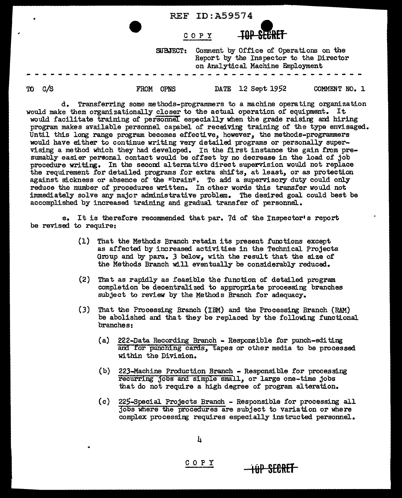|        |             |                 | COPY | <b>TOP SEERET</b>                                                                                                     |               |  |
|--------|-------------|-----------------|------|-----------------------------------------------------------------------------------------------------------------------|---------------|--|
|        |             | <b>SUBJECT:</b> |      | Comment by Office of Operations on the<br>Report by the Inspector to the Director<br>on Analytical Machine Employment |               |  |
| TO C/S | <b>FROM</b> | <b>OPNS</b>     |      | DATE 12 Sept 1952                                                                                                     | COMMENT NO. 1 |  |

REF ID:A59574

d. Transferring some methods-programmers to a machine opera ting organization would make them organizationally closer to the actual operation of equipment. It would facilitate training of personnel especially when the grade raising and hiring program makes available personnel capabel of receiving training of the type envisaged. Until this long range program becomes effective, however, the methods-programmers would have either to continue writing very detailed programs or personally supervising a method which they had developed. In the first instance the gain from presumably easier personal contact would be offset by no decrease in the load of job procedure writing. In the second alternative direct supervision would not replace the requirement for detailed programs for extra shifts, at least, or as protection against sickness or absence of the "brain". To add a supervisory duty could only reduce the number of procedures written. In other words this transfer would not immediately solve any major administrative problem. The desired goal could best be accomplished by increased training and gradual transfer of personnel.

e. It is therefore recommended that par. 7d of the Inspector• s report be revised to require:

- (1) That the Methods Branch retain its present functions except as affected by increased activities in the Technical Projects Group and by para. *3* below, with the result that the size of the Methods Branch will eventually be considerably reduced.
- (2) That as rapidly as feasible the function of detailed program completion be decentralized to appropriate processing branches subject to review by the Methods Branch for adequacy.
- (3) That the Processing Branch {IBM) and the Processing Branch (RAM) be abolished and that they be replaced by the following functional branches:
	- (a) 222-Data Recording Branch Responsible for punch-editing ana for punching cards, tapes or other media to be processed within the Division.
	- (b) 223-Machine Production Branch Responsible for processing recurring jobs and simple small, or large one-time jobs that do not require a high degree of program alteration.
	- (c) 225-Special Projects Branch Responsible for processing all jobs 'Where the procedures are subject to variation or where complex processing requires especially instructed personnel.

**·1uP SEBRET** 

c 0 p y